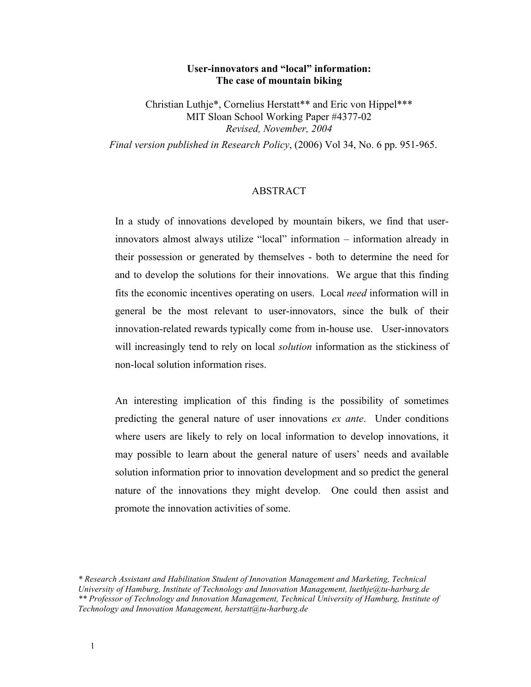# **User-innovators and "local" information: The case of mountain biking**

Christian Luthje\*, Cornelius Herstatt\*\* and Eric von Hippel\*\*\* MIT Sloan School Working Paper #4377-02 *Revised, November, 2004*

*Final version published in Research Policy*, (2006) Vol 34, No. 6 pp. 951-965.

## ABSTRACT

In a study of innovations developed by mountain bikers, we find that userinnovators almost always utilize "local" information – information already in their possession or generated by themselves - both to determine the need for and to develop the solutions for their innovations. We argue that this finding fits the economic incentives operating on users. Local *need* information will in general be the most relevant to user-innovators, since the bulk of their innovation-related rewards typically come from in-house use. User-innovators will increasingly tend to rely on local *solution* information as the stickiness of non-local solution information rises.

An interesting implication of this finding is the possibility of sometimes predicting the general nature of user innovations *ex ante*. Under conditions where users are likely to rely on local information to develop innovations, it may possible to learn about the general nature of users' needs and available solution information prior to innovation development and so predict the general nature of the innovations they might develop. One could then assist and promote the innovation activities of some.

*<sup>\*</sup> Research Assistant and Habilitation Student of Innovation Management and Marketing, Technical University of Hamburg, Institute of Technology and Innovation Management, luethje@tu-harburg.de \*\* Professor of Technology and Innovation Management, Technical University of Hamburg, Institute of Technology and Innovation Management, herstatt@tu-harburg.de*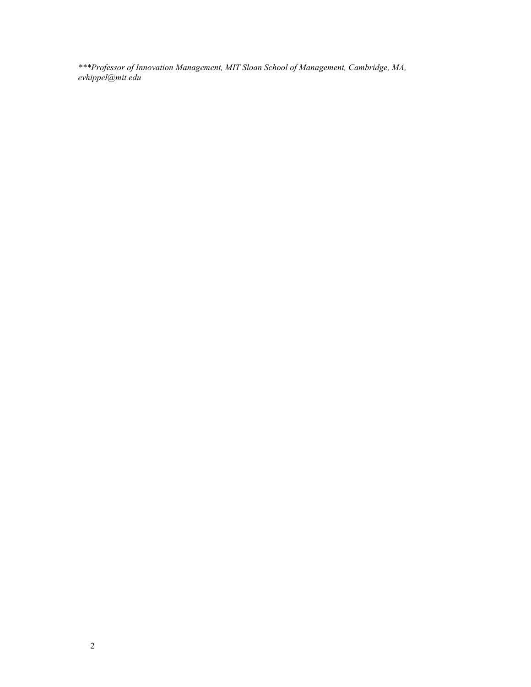*\*\*\*Professor of Innovation Management, MIT Sloan School of Management, Cambridge, MA, evhippel@mit.edu*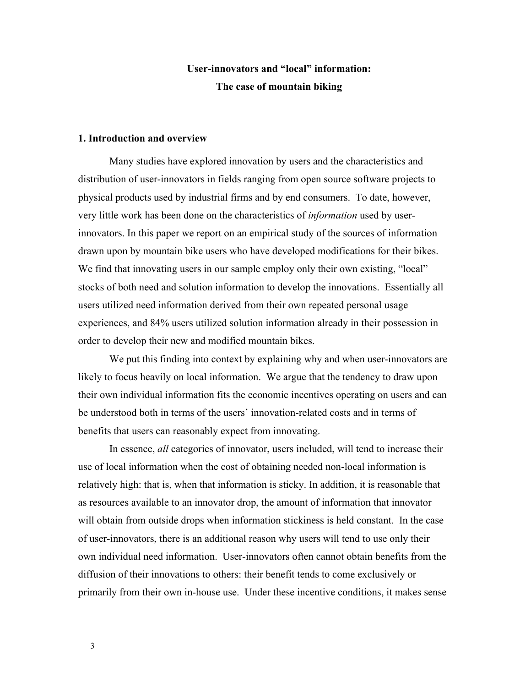# **User-innovators and "local" information: The case of mountain biking**

# **1. Introduction and overview**

Many studies have explored innovation by users and the characteristics and distribution of user-innovators in fields ranging from open source software projects to physical products used by industrial firms and by end consumers. To date, however, very little work has been done on the characteristics of *information* used by userinnovators. In this paper we report on an empirical study of the sources of information drawn upon by mountain bike users who have developed modifications for their bikes. We find that innovating users in our sample employ only their own existing, "local" stocks of both need and solution information to develop the innovations. Essentially all users utilized need information derived from their own repeated personal usage experiences, and 84% users utilized solution information already in their possession in order to develop their new and modified mountain bikes.

We put this finding into context by explaining why and when user-innovators are likely to focus heavily on local information. We argue that the tendency to draw upon their own individual information fits the economic incentives operating on users and can be understood both in terms of the users' innovation-related costs and in terms of benefits that users can reasonably expect from innovating.

In essence, *all* categories of innovator, users included, will tend to increase their use of local information when the cost of obtaining needed non-local information is relatively high: that is, when that information is sticky. In addition, it is reasonable that as resources available to an innovator drop, the amount of information that innovator will obtain from outside drops when information stickiness is held constant. In the case of user-innovators, there is an additional reason why users will tend to use only their own individual need information. User-innovators often cannot obtain benefits from the diffusion of their innovations to others: their benefit tends to come exclusively or primarily from their own in-house use. Under these incentive conditions, it makes sense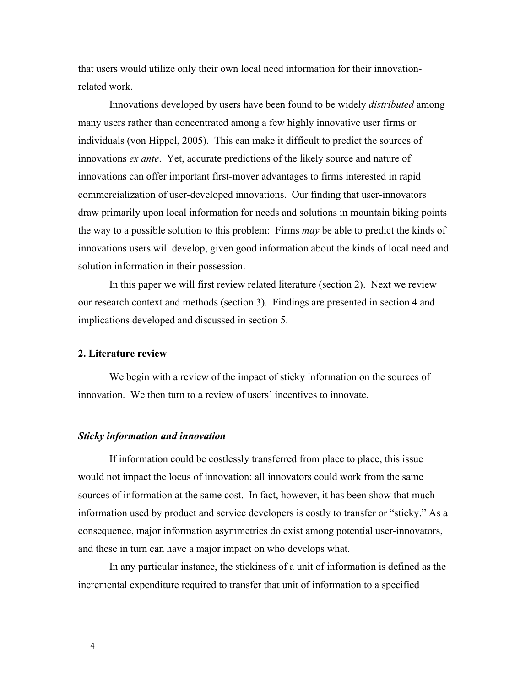that users would utilize only their own local need information for their innovationrelated work.

Innovations developed by users have been found to be widely *distributed* among many users rather than concentrated among a few highly innovative user firms or individuals (von Hippel, 2005). This can make it difficult to predict the sources of innovations *ex ante*. Yet, accurate predictions of the likely source and nature of innovations can offer important first-mover advantages to firms interested in rapid commercialization of user-developed innovations. Our finding that user-innovators draw primarily upon local information for needs and solutions in mountain biking points the way to a possible solution to this problem: Firms *may* be able to predict the kinds of innovations users will develop, given good information about the kinds of local need and solution information in their possession.

In this paper we will first review related literature (section 2). Next we review our research context and methods (section 3). Findings are presented in section 4 and implications developed and discussed in section 5.

## **2. Literature review**

We begin with a review of the impact of sticky information on the sources of innovation. We then turn to a review of users' incentives to innovate.

#### *Sticky information and innovation*

If information could be costlessly transferred from place to place, this issue would not impact the locus of innovation: all innovators could work from the same sources of information at the same cost. In fact, however, it has been show that much information used by product and service developers is costly to transfer or "sticky." As a consequence, major information asymmetries do exist among potential user-innovators, and these in turn can have a major impact on who develops what.

In any particular instance, the stickiness of a unit of information is defined as the incremental expenditure required to transfer that unit of information to a specified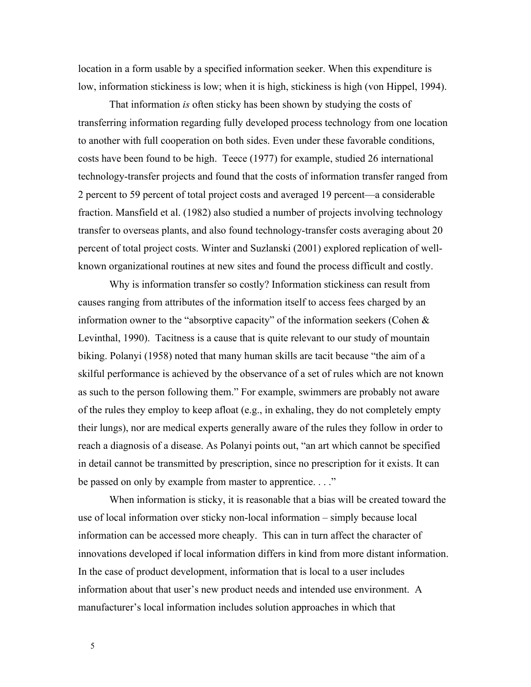location in a form usable by a specified information seeker. When this expenditure is low, information stickiness is low; when it is high, stickiness is high (von Hippel, 1994).

That information *is* often sticky has been shown by studying the costs of transferring information regarding fully developed process technology from one location to another with full cooperation on both sides. Even under these favorable conditions, costs have been found to be high. Teece (1977) for example, studied 26 international technology-transfer projects and found that the costs of information transfer ranged from 2 percent to 59 percent of total project costs and averaged 19 percent—a considerable fraction. Mansfield et al. (1982) also studied a number of projects involving technology transfer to overseas plants, and also found technology-transfer costs averaging about 20 percent of total project costs. Winter and Suzlanski (2001) explored replication of wellknown organizational routines at new sites and found the process difficult and costly.

Why is information transfer so costly? Information stickiness can result from causes ranging from attributes of the information itself to access fees charged by an information owner to the "absorptive capacity" of the information seekers (Cohen & Levinthal, 1990). Tacitness is a cause that is quite relevant to our study of mountain biking. Polanyi (1958) noted that many human skills are tacit because "the aim of a skilful performance is achieved by the observance of a set of rules which are not known as such to the person following them." For example, swimmers are probably not aware of the rules they employ to keep afloat (e.g., in exhaling, they do not completely empty their lungs), nor are medical experts generally aware of the rules they follow in order to reach a diagnosis of a disease. As Polanyi points out, "an art which cannot be specified in detail cannot be transmitted by prescription, since no prescription for it exists. It can be passed on only by example from master to apprentice. . . ."

When information is sticky, it is reasonable that a bias will be created toward the use of local information over sticky non-local information – simply because local information can be accessed more cheaply. This can in turn affect the character of innovations developed if local information differs in kind from more distant information. In the case of product development, information that is local to a user includes information about that user's new product needs and intended use environment. A manufacturer's local information includes solution approaches in which that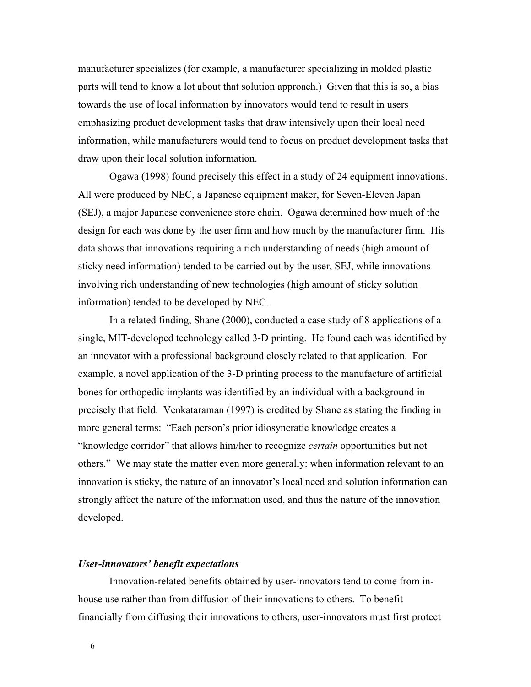manufacturer specializes (for example, a manufacturer specializing in molded plastic parts will tend to know a lot about that solution approach.) Given that this is so, a bias towards the use of local information by innovators would tend to result in users emphasizing product development tasks that draw intensively upon their local need information, while manufacturers would tend to focus on product development tasks that draw upon their local solution information.

Ogawa (1998) found precisely this effect in a study of 24 equipment innovations. All were produced by NEC, a Japanese equipment maker, for Seven-Eleven Japan (SEJ), a major Japanese convenience store chain. Ogawa determined how much of the design for each was done by the user firm and how much by the manufacturer firm. His data shows that innovations requiring a rich understanding of needs (high amount of sticky need information) tended to be carried out by the user, SEJ, while innovations involving rich understanding of new technologies (high amount of sticky solution information) tended to be developed by NEC.

In a related finding, Shane (2000), conducted a case study of 8 applications of a single, MIT-developed technology called 3-D printing. He found each was identified by an innovator with a professional background closely related to that application. For example, a novel application of the 3-D printing process to the manufacture of artificial bones for orthopedic implants was identified by an individual with a background in precisely that field. Venkataraman (1997) is credited by Shane as stating the finding in more general terms: "Each person's prior idiosyncratic knowledge creates a "knowledge corridor" that allows him/her to recognize *certain* opportunities but not others." We may state the matter even more generally: when information relevant to an innovation is sticky, the nature of an innovator's local need and solution information can strongly affect the nature of the information used, and thus the nature of the innovation developed.

#### *User-innovators' benefit expectations*

Innovation-related benefits obtained by user-innovators tend to come from inhouse use rather than from diffusion of their innovations to others. To benefit financially from diffusing their innovations to others, user-innovators must first protect

6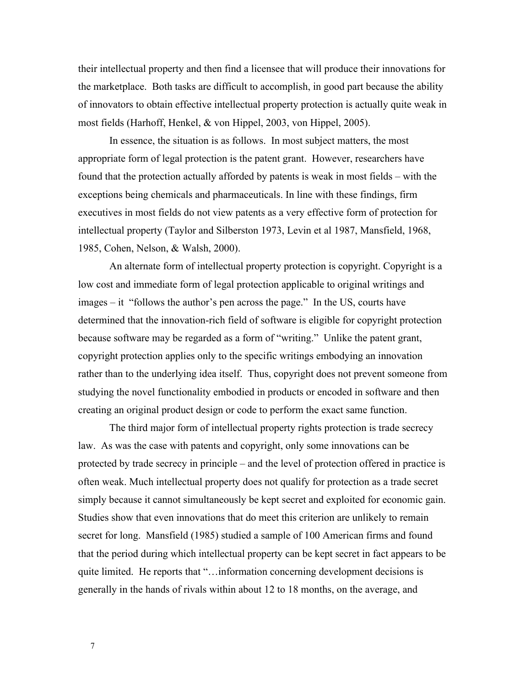their intellectual property and then find a licensee that will produce their innovations for the marketplace. Both tasks are difficult to accomplish, in good part because the ability of innovators to obtain effective intellectual property protection is actually quite weak in most fields (Harhoff, Henkel, & von Hippel, 2003, von Hippel, 2005).

In essence, the situation is as follows. In most subject matters, the most appropriate form of legal protection is the patent grant. However, researchers have found that the protection actually afforded by patents is weak in most fields – with the exceptions being chemicals and pharmaceuticals. In line with these findings, firm executives in most fields do not view patents as a very effective form of protection for intellectual property (Taylor and Silberston 1973, Levin et al 1987, Mansfield, 1968, 1985, Cohen, Nelson, & Walsh, 2000).

An alternate form of intellectual property protection is copyright. Copyright is a low cost and immediate form of legal protection applicable to original writings and images – it "follows the author's pen across the page." In the US, courts have determined that the innovation-rich field of software is eligible for copyright protection because software may be regarded as a form of "writing." Unlike the patent grant, copyright protection applies only to the specific writings embodying an innovation rather than to the underlying idea itself. Thus, copyright does not prevent someone from studying the novel functionality embodied in products or encoded in software and then creating an original product design or code to perform the exact same function.

The third major form of intellectual property rights protection is trade secrecy law. As was the case with patents and copyright, only some innovations can be protected by trade secrecy in principle – and the level of protection offered in practice is often weak. Much intellectual property does not qualify for protection as a trade secret simply because it cannot simultaneously be kept secret and exploited for economic gain. Studies show that even innovations that do meet this criterion are unlikely to remain secret for long. Mansfield (1985) studied a sample of 100 American firms and found that the period during which intellectual property can be kept secret in fact appears to be quite limited. He reports that "…information concerning development decisions is generally in the hands of rivals within about 12 to 18 months, on the average, and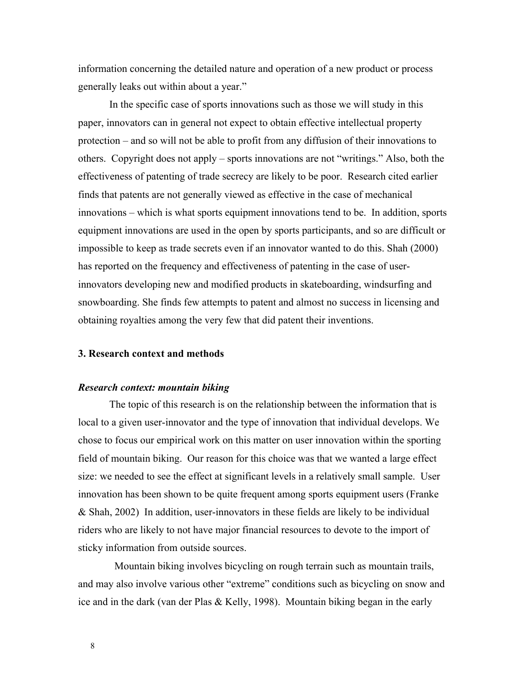information concerning the detailed nature and operation of a new product or process generally leaks out within about a year."

In the specific case of sports innovations such as those we will study in this paper, innovators can in general not expect to obtain effective intellectual property protection – and so will not be able to profit from any diffusion of their innovations to others. Copyright does not apply – sports innovations are not "writings." Also, both the effectiveness of patenting of trade secrecy are likely to be poor. Research cited earlier finds that patents are not generally viewed as effective in the case of mechanical innovations – which is what sports equipment innovations tend to be. In addition, sports equipment innovations are used in the open by sports participants, and so are difficult or impossible to keep as trade secrets even if an innovator wanted to do this. Shah (2000) has reported on the frequency and effectiveness of patenting in the case of userinnovators developing new and modified products in skateboarding, windsurfing and snowboarding. She finds few attempts to patent and almost no success in licensing and obtaining royalties among the very few that did patent their inventions.

# **3. Research context and methods**

## *Research context: mountain biking*

The topic of this research is on the relationship between the information that is local to a given user-innovator and the type of innovation that individual develops. We chose to focus our empirical work on this matter on user innovation within the sporting field of mountain biking. Our reason for this choice was that we wanted a large effect size: we needed to see the effect at significant levels in a relatively small sample. User innovation has been shown to be quite frequent among sports equipment users (Franke & Shah, 2002) In addition, user-innovators in these fields are likely to be individual riders who are likely to not have major financial resources to devote to the import of sticky information from outside sources.

 Mountain biking involves bicycling on rough terrain such as mountain trails, and may also involve various other "extreme" conditions such as bicycling on snow and ice and in the dark (van der Plas & Kelly, 1998). Mountain biking began in the early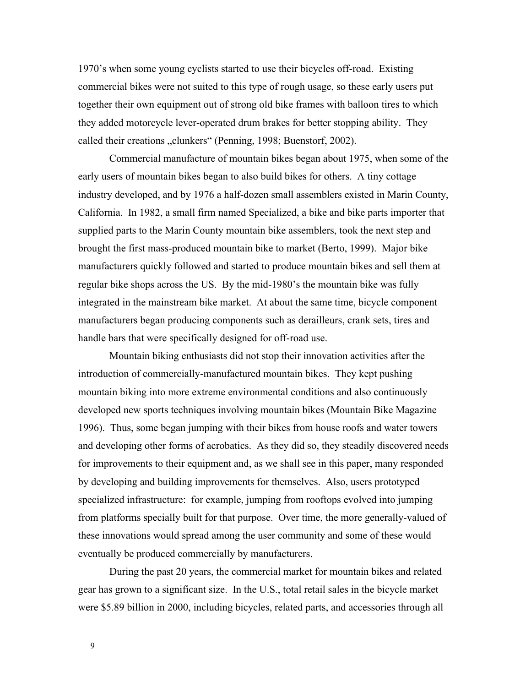1970's when some young cyclists started to use their bicycles off-road. Existing commercial bikes were not suited to this type of rough usage, so these early users put together their own equipment out of strong old bike frames with balloon tires to which they added motorcycle lever-operated drum brakes for better stopping ability. They called their creations "clunkers" (Penning, 1998; Buenstorf, 2002).

Commercial manufacture of mountain bikes began about 1975, when some of the early users of mountain bikes began to also build bikes for others. A tiny cottage industry developed, and by 1976 a half-dozen small assemblers existed in Marin County, California. In 1982, a small firm named Specialized, a bike and bike parts importer that supplied parts to the Marin County mountain bike assemblers, took the next step and brought the first mass-produced mountain bike to market (Berto, 1999). Major bike manufacturers quickly followed and started to produce mountain bikes and sell them at regular bike shops across the US. By the mid-1980's the mountain bike was fully integrated in the mainstream bike market. At about the same time, bicycle component manufacturers began producing components such as derailleurs, crank sets, tires and handle bars that were specifically designed for off-road use.

Mountain biking enthusiasts did not stop their innovation activities after the introduction of commercially-manufactured mountain bikes. They kept pushing mountain biking into more extreme environmental conditions and also continuously developed new sports techniques involving mountain bikes (Mountain Bike Magazine 1996). Thus, some began jumping with their bikes from house roofs and water towers and developing other forms of acrobatics. As they did so, they steadily discovered needs for improvements to their equipment and, as we shall see in this paper, many responded by developing and building improvements for themselves. Also, users prototyped specialized infrastructure: for example, jumping from rooftops evolved into jumping from platforms specially built for that purpose. Over time, the more generally-valued of these innovations would spread among the user community and some of these would eventually be produced commercially by manufacturers.

During the past 20 years, the commercial market for mountain bikes and related gear has grown to a significant size. In the U.S., total retail sales in the bicycle market were \$5.89 billion in 2000, including bicycles, related parts, and accessories through all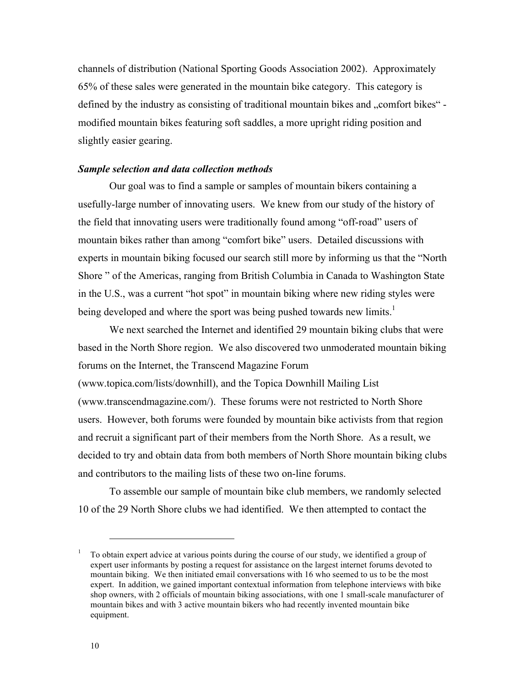channels of distribution (National Sporting Goods Association 2002). Approximately 65% of these sales were generated in the mountain bike category. This category is defined by the industry as consisting of traditional mountain bikes and "comfort bikes" modified mountain bikes featuring soft saddles, a more upright riding position and slightly easier gearing.

## *Sample selection and data collection methods*

Our goal was to find a sample or samples of mountain bikers containing a usefully-large number of innovating users. We knew from our study of the history of the field that innovating users were traditionally found among "off-road" users of mountain bikes rather than among "comfort bike" users. Detailed discussions with experts in mountain biking focused our search still more by informing us that the "North Shore " of the Americas, ranging from British Columbia in Canada to Washington State in the U.S., was a current "hot spot" in mountain biking where new riding styles were being developed and where the sport was being pushed towards new limits.<sup>1</sup>

We next searched the Internet and identified 29 mountain biking clubs that were based in the North Shore region. We also discovered two unmoderated mountain biking forums on the Internet, the Transcend Magazine Forum (www.topica.com/lists/downhill), and the Topica Downhill Mailing List (www.transcendmagazine.com/). These forums were not restricted to North Shore users. However, both forums were founded by mountain bike activists from that region and recruit a significant part of their members from the North Shore. As a result, we decided to try and obtain data from both members of North Shore mountain biking clubs and contributors to the mailing lists of these two on-line forums.

To assemble our sample of mountain bike club members, we randomly selected 10 of the 29 North Shore clubs we had identified. We then attempted to contact the

<sup>1</sup> To obtain expert advice at various points during the course of our study, we identified a group of expert user informants by posting a request for assistance on the largest internet forums devoted to mountain biking. We then initiated email conversations with 16 who seemed to us to be the most expert. In addition, we gained important contextual information from telephone interviews with bike shop owners, with 2 officials of mountain biking associations, with one 1 small-scale manufacturer of mountain bikes and with 3 active mountain bikers who had recently invented mountain bike equipment.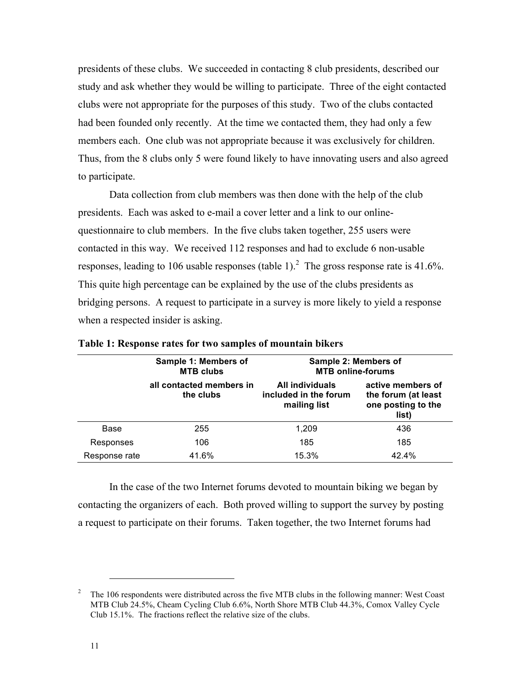presidents of these clubs. We succeeded in contacting 8 club presidents, described our study and ask whether they would be willing to participate. Three of the eight contacted clubs were not appropriate for the purposes of this study. Two of the clubs contacted had been founded only recently. At the time we contacted them, they had only a few members each. One club was not appropriate because it was exclusively for children. Thus, from the 8 clubs only 5 were found likely to have innovating users and also agreed to participate.

Data collection from club members was then done with the help of the club presidents. Each was asked to e-mail a cover letter and a link to our onlinequestionnaire to club members. In the five clubs taken together, 255 users were contacted in this way. We received 112 responses and had to exclude 6 non-usable responses, leading to 106 usable responses (table 1).<sup>2</sup> The gross response rate is 41.6%. This quite high percentage can be explained by the use of the clubs presidents as bridging persons. A request to participate in a survey is more likely to yield a response when a respected insider is asking.

|               | Sample 1: Members of<br><b>MTB clubs</b> | Sample 2: Members of<br><b>MTB online-forums</b>         |                                                                         |  |
|---------------|------------------------------------------|----------------------------------------------------------|-------------------------------------------------------------------------|--|
|               | all contacted members in<br>the clubs    | All individuals<br>included in the forum<br>mailing list | active members of<br>the forum (at least<br>one posting to the<br>list) |  |
| Base          | 255                                      | 1.209                                                    | 436                                                                     |  |
| Responses     | 106                                      | 185                                                      | 185                                                                     |  |
| Response rate | 41.6%                                    | 15.3%                                                    | 42.4%                                                                   |  |

**Table 1: Response rates for two samples of mountain bikers**

In the case of the two Internet forums devoted to mountain biking we began by contacting the organizers of each. Both proved willing to support the survey by posting a request to participate on their forums. Taken together, the two Internet forums had

<sup>2</sup> The 106 respondents were distributed across the five MTB clubs in the following manner: West Coast MTB Club 24.5%, Cheam Cycling Club 6.6%, North Shore MTB Club 44.3%, Comox Valley Cycle Club 15.1%. The fractions reflect the relative size of the clubs.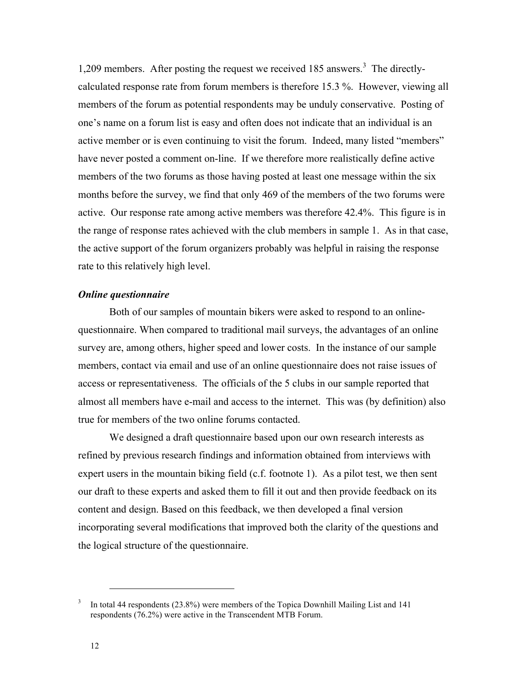1,209 members. After posting the request we received  $185$  answers.<sup>3</sup> The directlycalculated response rate from forum members is therefore 15.3 %. However, viewing all members of the forum as potential respondents may be unduly conservative. Posting of one's name on a forum list is easy and often does not indicate that an individual is an active member or is even continuing to visit the forum. Indeed, many listed "members" have never posted a comment on-line. If we therefore more realistically define active members of the two forums as those having posted at least one message within the six months before the survey, we find that only 469 of the members of the two forums were active. Our response rate among active members was therefore 42.4%. This figure is in the range of response rates achieved with the club members in sample 1. As in that case, the active support of the forum organizers probably was helpful in raising the response rate to this relatively high level.

#### *Online questionnaire*

Both of our samples of mountain bikers were asked to respond to an onlinequestionnaire. When compared to traditional mail surveys, the advantages of an online survey are, among others, higher speed and lower costs. In the instance of our sample members, contact via email and use of an online questionnaire does not raise issues of access or representativeness. The officials of the 5 clubs in our sample reported that almost all members have e-mail and access to the internet. This was (by definition) also true for members of the two online forums contacted.

We designed a draft questionnaire based upon our own research interests as refined by previous research findings and information obtained from interviews with expert users in the mountain biking field (c.f. footnote 1). As a pilot test, we then sent our draft to these experts and asked them to fill it out and then provide feedback on its content and design. Based on this feedback, we then developed a final version incorporating several modifications that improved both the clarity of the questions and the logical structure of the questionnaire.

<sup>3</sup> In total 44 respondents (23.8%) were members of the Topica Downhill Mailing List and 141 respondents (76.2%) were active in the Transcendent MTB Forum.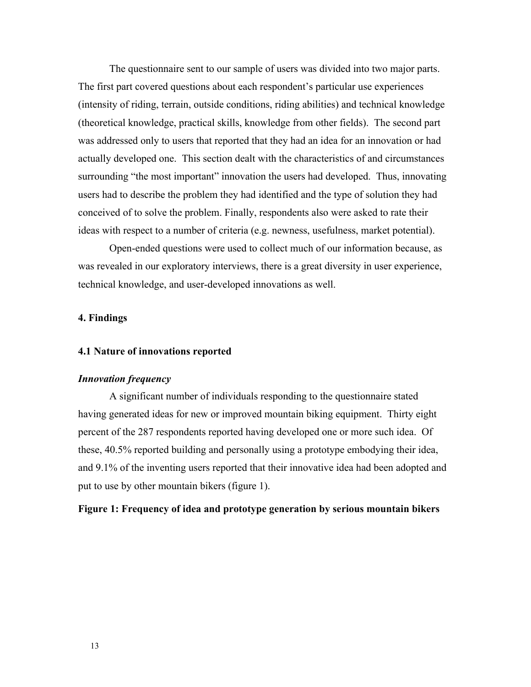The questionnaire sent to our sample of users was divided into two major parts. The first part covered questions about each respondent's particular use experiences (intensity of riding, terrain, outside conditions, riding abilities) and technical knowledge (theoretical knowledge, practical skills, knowledge from other fields). The second part was addressed only to users that reported that they had an idea for an innovation or had actually developed one. This section dealt with the characteristics of and circumstances surrounding "the most important" innovation the users had developed. Thus, innovating users had to describe the problem they had identified and the type of solution they had conceived of to solve the problem. Finally, respondents also were asked to rate their ideas with respect to a number of criteria (e.g. newness, usefulness, market potential).

Open-ended questions were used to collect much of our information because, as was revealed in our exploratory interviews, there is a great diversity in user experience, technical knowledge, and user-developed innovations as well.

## **4. Findings**

## **4.1 Nature of innovations reported**

## *Innovation frequency*

A significant number of individuals responding to the questionnaire stated having generated ideas for new or improved mountain biking equipment. Thirty eight percent of the 287 respondents reported having developed one or more such idea. Of these, 40.5% reported building and personally using a prototype embodying their idea, and 9.1% of the inventing users reported that their innovative idea had been adopted and put to use by other mountain bikers (figure 1).

## **Figure 1: Frequency of idea and prototype generation by serious mountain bikers**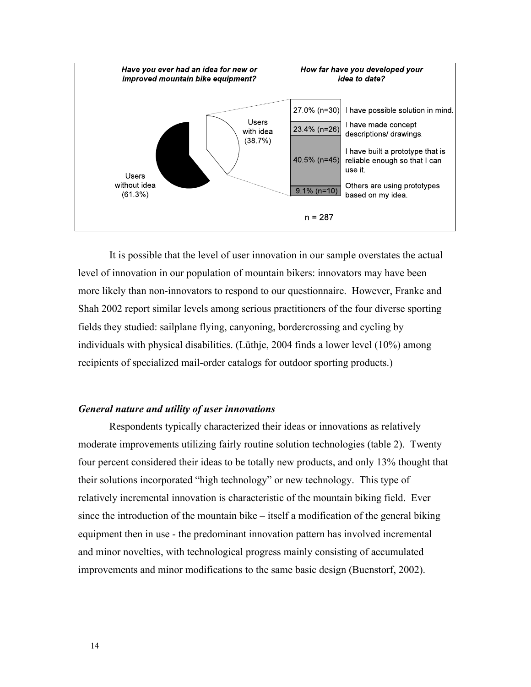

It is possible that the level of user innovation in our sample overstates the actual level of innovation in our population of mountain bikers: innovators may have been more likely than non-innovators to respond to our questionnaire. However, Franke and Shah 2002 report similar levels among serious practitioners of the four diverse sporting fields they studied: sailplane flying, canyoning, bordercrossing and cycling by individuals with physical disabilities. (Lüthje, 2004 finds a lower level (10%) among recipients of specialized mail-order catalogs for outdoor sporting products.)

## *General nature and utility of user innovations*

Respondents typically characterized their ideas or innovations as relatively moderate improvements utilizing fairly routine solution technologies (table 2). Twenty four percent considered their ideas to be totally new products, and only 13% thought that their solutions incorporated "high technology" or new technology. This type of relatively incremental innovation is characteristic of the mountain biking field. Ever since the introduction of the mountain bike – itself a modification of the general biking equipment then in use - the predominant innovation pattern has involved incremental and minor novelties, with technological progress mainly consisting of accumulated improvements and minor modifications to the same basic design (Buenstorf, 2002).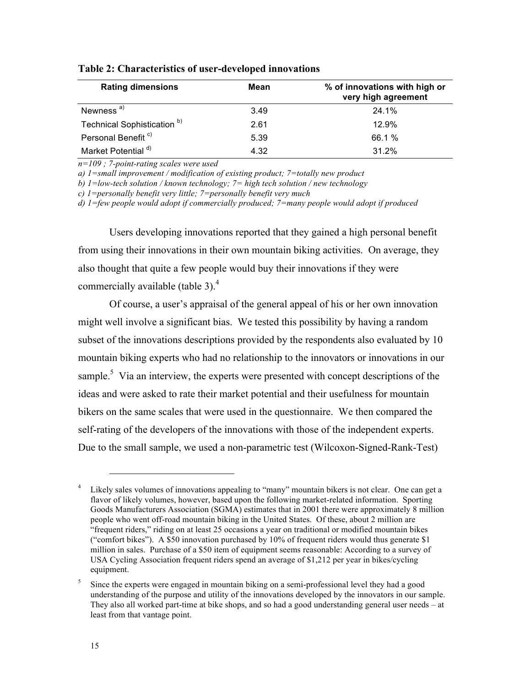| <b>Rating dimensions</b>               | Mean | % of innovations with high or<br>very high agreement |
|----------------------------------------|------|------------------------------------------------------|
| Newness <sup>a)</sup>                  | 3.49 | 24.1%                                                |
| Technical Sophistication <sup>b)</sup> | 2.61 | 12.9%                                                |
| Personal Benefit <sup>c)</sup>         | 5.39 | 66.1 %                                               |
| Market Potential <sup>d)</sup>         | 4.32 | 31.2%                                                |

#### **Table 2: Characteristics of user-developed innovations**

*n=109 ; 7-point-rating scales were used*

*a) 1=small improvement / modification of existing product; 7=totally new product* 

*b) 1=low-tech solution / known technology; 7= high tech solution / new technology*

*c) 1=personally benefit very little; 7=personally benefit very much*

*d) 1=few people would adopt if commercially produced; 7=many people would adopt if produced*

Users developing innovations reported that they gained a high personal benefit from using their innovations in their own mountain biking activities. On average, they also thought that quite a few people would buy their innovations if they were commercially available (table 3). $<sup>4</sup>$ </sup>

Of course, a user's appraisal of the general appeal of his or her own innovation might well involve a significant bias. We tested this possibility by having a random subset of the innovations descriptions provided by the respondents also evaluated by 10 mountain biking experts who had no relationship to the innovators or innovations in our sample.<sup>5</sup> Via an interview, the experts were presented with concept descriptions of the ideas and were asked to rate their market potential and their usefulness for mountain bikers on the same scales that were used in the questionnaire. We then compared the self-rating of the developers of the innovations with those of the independent experts. Due to the small sample, we used a non-parametric test (Wilcoxon-Signed-Rank-Test)

Likely sales volumes of innovations appealing to "many" mountain bikers is not clear. One can get a flavor of likely volumes, however, based upon the following market-related information. Sporting Goods Manufacturers Association (SGMA) estimates that in 2001 there were approximately 8 million people who went off-road mountain biking in the United States. Of these, about 2 million are "frequent riders," riding on at least 25 occasions a year on traditional or modified mountain bikes ("comfort bikes"). A \$50 innovation purchased by 10% of frequent riders would thus generate \$1 million in sales. Purchase of a \$50 item of equipment seems reasonable: According to a survey of USA Cycling Association frequent riders spend an average of \$1,212 per year in bikes/cycling equipment.

<sup>5</sup> Since the experts were engaged in mountain biking on a semi-professional level they had a good understanding of the purpose and utility of the innovations developed by the innovators in our sample. They also all worked part-time at bike shops, and so had a good understanding general user needs – at least from that vantage point.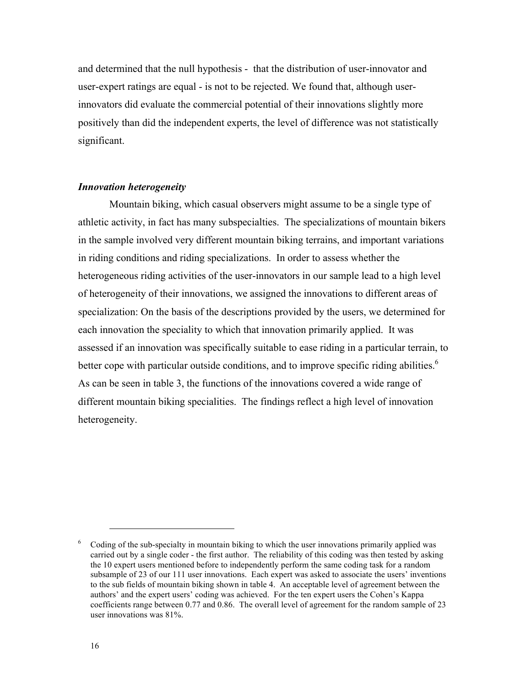and determined that the null hypothesis - that the distribution of user-innovator and user-expert ratings are equal - is not to be rejected. We found that, although userinnovators did evaluate the commercial potential of their innovations slightly more positively than did the independent experts, the level of difference was not statistically significant.

## *Innovation heterogeneity*

Mountain biking, which casual observers might assume to be a single type of athletic activity, in fact has many subspecialties. The specializations of mountain bikers in the sample involved very different mountain biking terrains, and important variations in riding conditions and riding specializations. In order to assess whether the heterogeneous riding activities of the user-innovators in our sample lead to a high level of heterogeneity of their innovations, we assigned the innovations to different areas of specialization: On the basis of the descriptions provided by the users, we determined for each innovation the speciality to which that innovation primarily applied. It was assessed if an innovation was specifically suitable to ease riding in a particular terrain, to better cope with particular outside conditions, and to improve specific riding abilities.<sup>6</sup> As can be seen in table 3, the functions of the innovations covered a wide range of different mountain biking specialities. The findings reflect a high level of innovation heterogeneity.

<sup>6</sup> Coding of the sub-specialty in mountain biking to which the user innovations primarily applied was carried out by a single coder - the first author. The reliability of this coding was then tested by asking the 10 expert users mentioned before to independently perform the same coding task for a random subsample of 23 of our 111 user innovations. Each expert was asked to associate the users' inventions to the sub fields of mountain biking shown in table 4. An acceptable level of agreement between the authors' and the expert users' coding was achieved. For the ten expert users the Cohen's Kappa coefficients range between 0.77 and 0.86. The overall level of agreement for the random sample of 23 user innovations was 81%.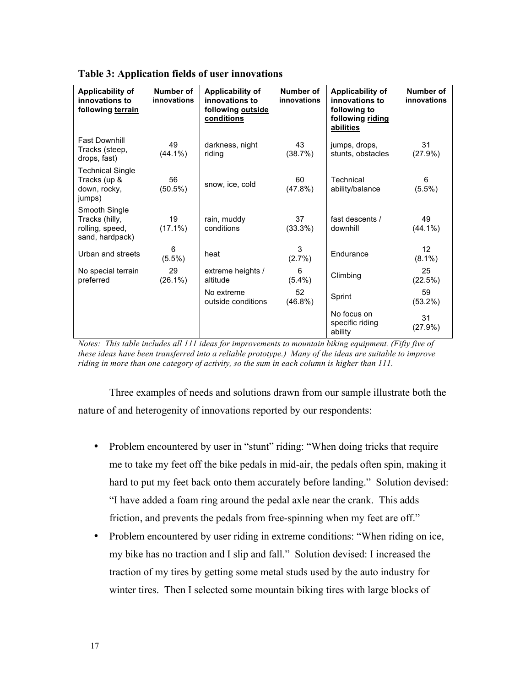| <b>Applicability of</b><br>innovations to<br>following terrain        | Number of<br>innovations | <b>Applicability of</b><br>innovations to<br>following outside<br>conditions | Number of<br>innovations | Applicability of<br>innovations to<br>following to<br>following riding<br>abilities | Number of<br>innovations |
|-----------------------------------------------------------------------|--------------------------|------------------------------------------------------------------------------|--------------------------|-------------------------------------------------------------------------------------|--------------------------|
| <b>Fast Downhill</b><br>Tracks (steep,<br>drops, fast)                | 49<br>$(44.1\%)$         | darkness, night<br>riding                                                    | 43<br>(38.7%)            | jumps, drops,<br>stunts, obstacles                                                  | 31<br>(27.9%)            |
| <b>Technical Single</b><br>Tracks (up &<br>down, rocky,<br>jumps)     | 56<br>$(50.5\%)$         | snow, ice, cold                                                              | 60<br>$(47.8\%)$         | Technical<br>ability/balance                                                        | 6<br>$(5.5\%)$           |
| Smooth Single<br>Tracks (hilly,<br>rolling, speed,<br>sand, hardpack) | 19<br>$(17.1\%)$         | rain, muddy<br>conditions                                                    | 37<br>$(33.3\%)$         | fast descents /<br>downhill                                                         | 49<br>$(44.1\%)$         |
| Urban and streets                                                     | 6<br>$(5.5\%)$           | heat                                                                         | 3<br>(2.7%)              | Endurance                                                                           | 12<br>$(8.1\%)$          |
| No special terrain<br>preferred                                       | 29<br>$(26.1\%)$         | extreme heights /<br>altitude                                                | 6<br>$(5.4\%)$           | Climbing                                                                            | 25<br>(22.5%)            |
|                                                                       |                          | No extreme<br>outside conditions                                             | 52<br>$(46.8\%)$         | Sprint                                                                              | 59<br>$(53.2\%)$         |
|                                                                       |                          |                                                                              |                          | No focus on<br>specific riding<br>ability                                           | 31<br>(27.9%)            |

**Table 3: Application fields of user innovations**

*Notes: This table includes all 111 ideas for improvements to mountain biking equipment. (Fifty five of these ideas have been transferred into a reliable prototype.) Many of the ideas are suitable to improve riding in more than one category of activity, so the sum in each column is higher than 111.*

Three examples of needs and solutions drawn from our sample illustrate both the nature of and heterogenity of innovations reported by our respondents:

- Problem encountered by user in "stunt" riding: "When doing tricks that require me to take my feet off the bike pedals in mid-air, the pedals often spin, making it hard to put my feet back onto them accurately before landing." Solution devised: "I have added a foam ring around the pedal axle near the crank. This adds friction, and prevents the pedals from free-spinning when my feet are off."
- Problem encountered by user riding in extreme conditions: "When riding on ice, my bike has no traction and I slip and fall." Solution devised: I increased the traction of my tires by getting some metal studs used by the auto industry for winter tires. Then I selected some mountain biking tires with large blocks of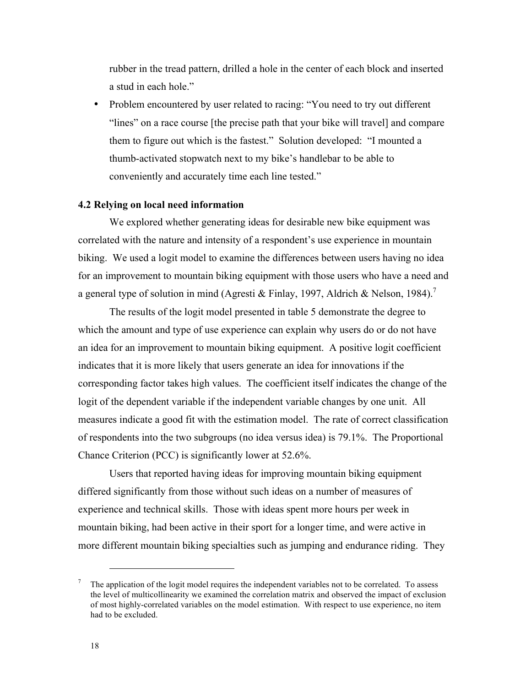rubber in the tread pattern, drilled a hole in the center of each block and inserted a stud in each hole."

• Problem encountered by user related to racing: "You need to try out different "lines" on a race course [the precise path that your bike will travel] and compare them to figure out which is the fastest." Solution developed: "I mounted a thumb-activated stopwatch next to my bike's handlebar to be able to conveniently and accurately time each line tested."

# **4.2 Relying on local need information**

We explored whether generating ideas for desirable new bike equipment was correlated with the nature and intensity of a respondent's use experience in mountain biking. We used a logit model to examine the differences between users having no idea for an improvement to mountain biking equipment with those users who have a need and a general type of solution in mind (Agresti & Finlay, 1997, Aldrich & Nelson, 1984).<sup>7</sup>

The results of the logit model presented in table 5 demonstrate the degree to which the amount and type of use experience can explain why users do or do not have an idea for an improvement to mountain biking equipment.A positive logit coefficient indicates that it is more likely that users generate an idea for innovations if the corresponding factor takes high values. The coefficient itself indicates the change of the logit of the dependent variable if the independent variable changes by one unit. All measures indicate a good fit with the estimation model. The rate of correct classification of respondents into the two subgroups (no idea versus idea) is 79.1%. The Proportional Chance Criterion (PCC) is significantly lower at 52.6%.

Users that reported having ideas for improving mountain biking equipment differed significantly from those without such ideas on a number of measures of experience and technical skills. Those with ideas spent more hours per week in mountain biking, had been active in their sport for a longer time, and were active in more different mountain biking specialties such as jumping and endurance riding. They

<sup>7</sup> The application of the logit model requires the independent variables not to be correlated. To assess the level of multicollinearity we examined the correlation matrix and observed the impact of exclusion of most highly-correlated variables on the model estimation. With respect to use experience, no item had to be excluded.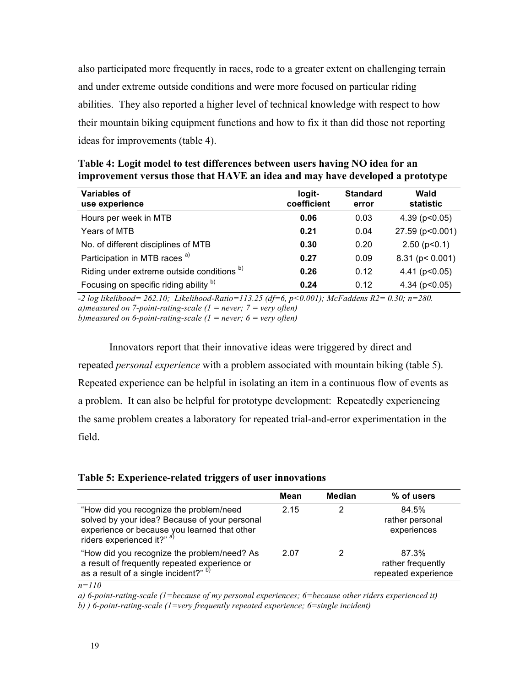also participated more frequently in races, rode to a greater extent on challenging terrain and under extreme outside conditions and were more focused on particular riding abilities. They also reported a higher level of technical knowledge with respect to how their mountain biking equipment functions and how to fix it than did those not reporting ideas for improvements (table 4).

| Variables of<br>use experience             | logit-<br>coefficient | <b>Standard</b><br>error | Wald<br>statistic   |
|--------------------------------------------|-----------------------|--------------------------|---------------------|
| Hours per week in MTB                      | 0.06                  | 0.03                     | $4.39$ (p $0.05$ )  |
| Years of MTB                               | 0.21                  | 0.04                     | 27.59 (p<0.001)     |
| No. of different disciplines of MTB        | 0.30                  | 0.20                     | $2.50$ ( $p<0.1$ )  |
| Participation in MTB races <sup>a)</sup>   | 0.27                  | 0.09                     | $8.31$ (p < 0.001)  |
| Riding under extreme outside conditions b) | 0.26                  | 0.12                     | 4.41 ( $p < 0.05$ ) |
| Focusing on specific riding ability b)     | 0.24                  | 0.12                     | 4.34 ( $p < 0.05$ ) |

**Table 4: Logit model to test differences between users having NO idea for an improvement versus those that HAVE an idea and may have developed a prototype**

*-2 log likelihood= 262.10; Likelihood-Ratio=113.25 (df=6, p<0.001); McFaddens R2= 0.30; n=280. a)measured on 7-point-rating-scale (1 = never; 7 = very often) b)measured on 6-point-rating-scale (1 = never; 6 = very often)*

Innovators report that their innovative ideas were triggered by direct and repeated *personal experience* with a problem associated with mountain biking (table 5). Repeated experience can be helpful in isolating an item in a continuous flow of events as a problem. It can also be helpful for prototype development: Repeatedly experiencing the same problem creates a laboratory for repeated trial-and-error experimentation in the field.

|  |  |  | Table 5: Experience-related triggers of user innovations |  |  |  |
|--|--|--|----------------------------------------------------------|--|--|--|
|  |  |  |                                                          |  |  |  |

|                                                                                                                                                                                   | Mean | <b>Median</b> | % of users                                        |
|-----------------------------------------------------------------------------------------------------------------------------------------------------------------------------------|------|---------------|---------------------------------------------------|
| "How did you recognize the problem/need<br>solved by your idea? Because of your personal<br>experience or because you learned that other<br>riders experienced it?" <sup>a)</sup> | 2.15 |               | 84.5%<br>rather personal<br>experiences           |
| "How did you recognize the problem/need? As<br>a result of frequently repeated experience or<br>as a result of a single incident?" b)                                             | 2.07 | 2             | 87.3%<br>rather frequently<br>repeated experience |

*n=110* 

*a) 6-point-rating-scale (1=because of my personal experiences; 6=because other riders experienced it)*

*b) ) 6-point-rating-scale (1=very frequently repeated experience; 6=single incident)*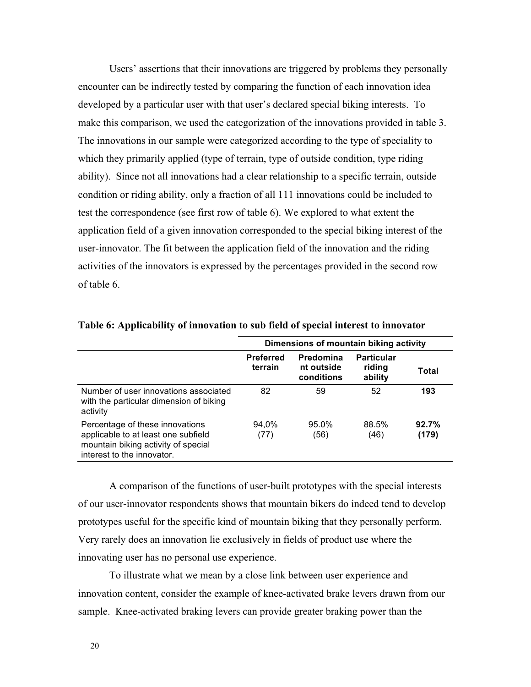Users' assertions that their innovations are triggered by problems they personally encounter can be indirectly tested by comparing the function of each innovation idea developed by a particular user with that user's declared special biking interests. To make this comparison, we used the categorization of the innovations provided in table 3. The innovations in our sample were categorized according to the type of speciality to which they primarily applied (type of terrain, type of outside condition, type riding ability). Since not all innovations had a clear relationship to a specific terrain, outside condition or riding ability, only a fraction of all 111 innovations could be included to test the correspondence (see first row of table 6). We explored to what extent the application field of a given innovation corresponded to the special biking interest of the user-innovator. The fit between the application field of the innovation and the riding activities of the innovators is expressed by the percentages provided in the second row of table 6.

|                                                                                                                                             | Dimensions of mountain biking activity |                                       |                                        |                |  |
|---------------------------------------------------------------------------------------------------------------------------------------------|----------------------------------------|---------------------------------------|----------------------------------------|----------------|--|
|                                                                                                                                             | <b>Preferred</b><br>terrain            | Predomina<br>nt outside<br>conditions | <b>Particular</b><br>riding<br>ability | Total          |  |
| Number of user innovations associated<br>with the particular dimension of biking<br>activity                                                | 82                                     | 59                                    | 52                                     | 193            |  |
| Percentage of these innovations<br>applicable to at least one subfield<br>mountain biking activity of special<br>interest to the innovator. | 94.0%<br>(77)                          | 95.0%<br>(56)                         | 88.5%<br>(46)                          | 92.7%<br>(179) |  |

**Table 6: Applicability of innovation to sub field of special interest to innovator**

A comparison of the functions of user-built prototypes with the special interests of our user-innovator respondents shows that mountain bikers do indeed tend to develop prototypes useful for the specific kind of mountain biking that they personally perform. Very rarely does an innovation lie exclusively in fields of product use where the innovating user has no personal use experience.

To illustrate what we mean by a close link between user experience and innovation content, consider the example of knee-activated brake levers drawn from our sample. Knee-activated braking levers can provide greater braking power than the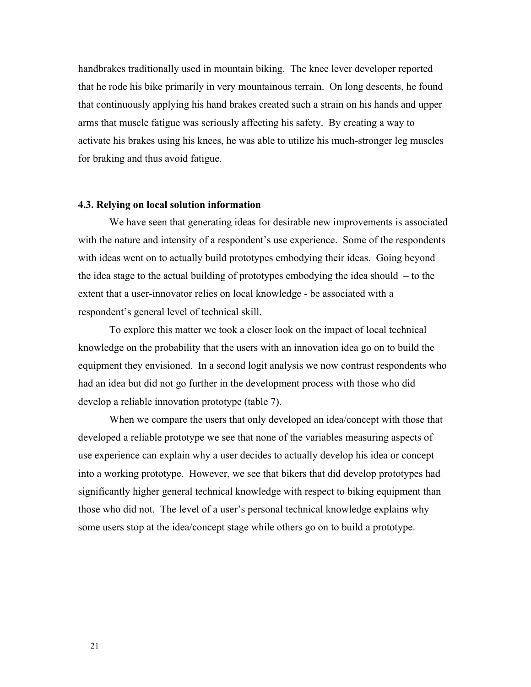handbrakes traditionally used in mountain biking. The knee lever developer reported that he rode his bike primarily in very mountainous terrain. On long descents, he found that continuously applying his hand brakes created such a strain on his hands and upper arms that muscle fatigue was seriously affecting his safety. By creating a way to activate his brakes using his knees, he was able to utilize his much-stronger leg muscles for braking and thus avoid fatigue.

## **4.3. Relying on local solution information**

We have seen that generating ideas for desirable new improvements is associated with the nature and intensity of a respondent's use experience. Some of the respondents with ideas went on to actually build prototypes embodying their ideas. Going beyond the idea stage to the actual building of prototypes embodying the idea should – to the extent that a user-innovator relies on local knowledge - be associated with a respondent's general level of technical skill.

To explore this matter we took a closer look on the impact of local technical knowledge on the probability that the users with an innovation idea go on to build the equipment they envisioned. In a second logit analysis we now contrast respondents who had an idea but did not go further in the development process with those who did develop a reliable innovation prototype (table 7).

When we compare the users that only developed an idea/concept with those that developed a reliable prototype we see that none of the variables measuring aspects of use experience can explain why a user decides to actually develop his idea or concept into a working prototype. However, we see that bikers that did develop prototypes had significantly higher general technical knowledge with respect to biking equipment than those who did not.The level of a user's personal technical knowledge explains why some users stop at the idea/concept stage while others go on to build a prototype.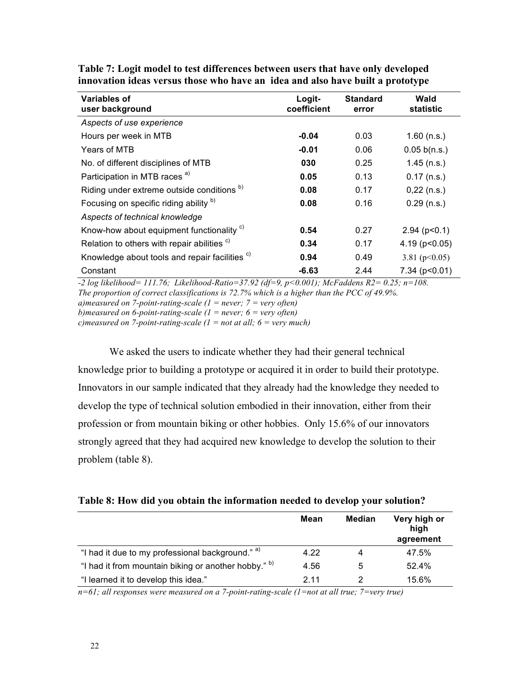| Variables of<br>user background                           | Logit-<br>coefficient | <b>Standard</b><br>error | Wald<br>statistic   |
|-----------------------------------------------------------|-----------------------|--------------------------|---------------------|
| Aspects of use experience                                 |                       |                          |                     |
| Hours per week in MTB                                     | $-0.04$               | 0.03                     | $1.60$ (n.s.)       |
| Years of MTB                                              | $-0.01$               | 0.06                     | 0.05 b(n.s.)        |
| No. of different disciplines of MTB                       | 030                   | 0.25                     | $1.45$ (n.s.)       |
| Participation in MTB races <sup>a)</sup>                  | 0.05                  | 0.13                     | $0.17$ (n.s.)       |
| Riding under extreme outside conditions <sup>b)</sup>     | 0.08                  | 0.17                     | $0,22$ (n.s.)       |
| Focusing on specific riding ability b)                    | 0.08                  | 0.16                     | $0.29$ (n.s.)       |
| Aspects of technical knowledge                            |                       |                          |                     |
| Know-how about equipment functionality <sup>c)</sup>      | 0.54                  | 0.27                     | $2.94$ ( $p<0.1$ )  |
| Relation to others with repair abilities <sup>c)</sup>    | 0.34                  | 0.17                     | 4.19 ( $p < 0.05$ ) |
| Knowledge about tools and repair facilities <sup>c)</sup> | 0.94                  | 0.49                     | 3.81 ( $p<0.05$ )   |
| Constant                                                  | $-6.63$               | 2.44                     | $7.34$ ( $p<0.01$ ) |

**Table 7: Logit model to test differences between users that have only developed innovation ideas versus those who have an idea and also have built a prototype**

*-2 log likelihood= 111.76; Likelihood-Ratio=37.92 (df=9, p<0.001); McFaddens R2= 0.25; n=108. The proportion of correct classifications is 72.7% which is a higher than the PCC of 49.9%. a)measured on 7-point-rating-scale (1 = never; 7 = very often) b)measured on 6-point-rating-scale (1 = never; 6 = very often) c)measured on 7-point-rating-scale (1 = not at all; 6 = very much)*

We asked the users to indicate whether they had their general technical knowledge prior to building a prototype or acquired it in order to build their prototype. Innovators in our sample indicated that they already had the knowledge they needed to develop the type of technical solution embodied in their innovation, either from their profession or from mountain biking or other hobbies. Only 15.6% of our innovators strongly agreed that they had acquired new knowledge to develop the solution to their problem (table 8).

|                                                      | <b>Mean</b> | <b>Median</b> | Very high or<br>high<br>agreement |
|------------------------------------------------------|-------------|---------------|-----------------------------------|
| "I had it due to my professional background." a)     | 4.22        | 4             | 47.5%                             |
| "I had it from mountain biking or another hobby." b) | 4.56        | 5             | 52.4%                             |
| "I learned it to develop this idea."                 | 2 1 1       |               | 15.6%                             |

*n=61; all responses were measured on a 7-point-rating-scale (1=not at all true; 7=very true)*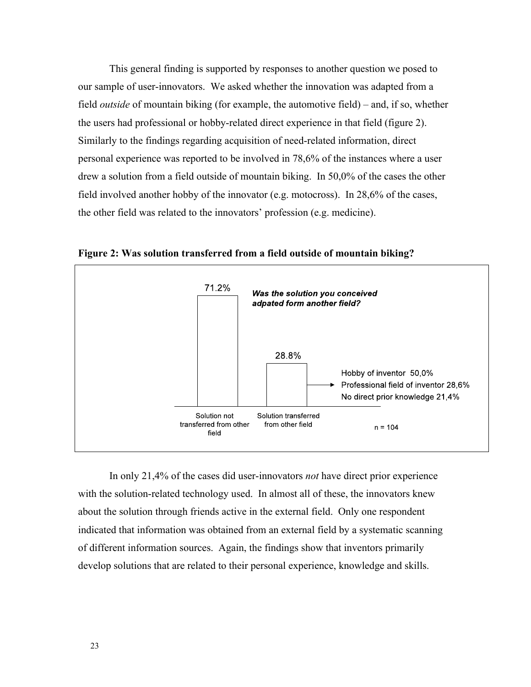This general finding is supported by responses to another question we posed to our sample of user-innovators. We asked whether the innovation was adapted from a field *outside* of mountain biking (for example, the automotive field) – and, if so, whether the users had professional or hobby-related direct experience in that field (figure 2). Similarly to the findings regarding acquisition of need-related information, direct personal experience was reported to be involved in 78,6% of the instances where a user drew a solution from a field outside of mountain biking. In 50,0% of the cases the other field involved another hobby of the innovator (e.g. motocross). In 28,6% of the cases, the other field was related to the innovators' profession (e.g. medicine).



**Figure 2: Was solution transferred from a field outside of mountain biking?**

In only 21,4% of the cases did user-innovators *not* have direct prior experience with the solution-related technology used. In almost all of these, the innovators knew about the solution through friends active in the external field. Only one respondent indicated that information was obtained from an external field by a systematic scanning of different information sources. Again, the findings show that inventors primarily develop solutions that are related to their personal experience, knowledge and skills.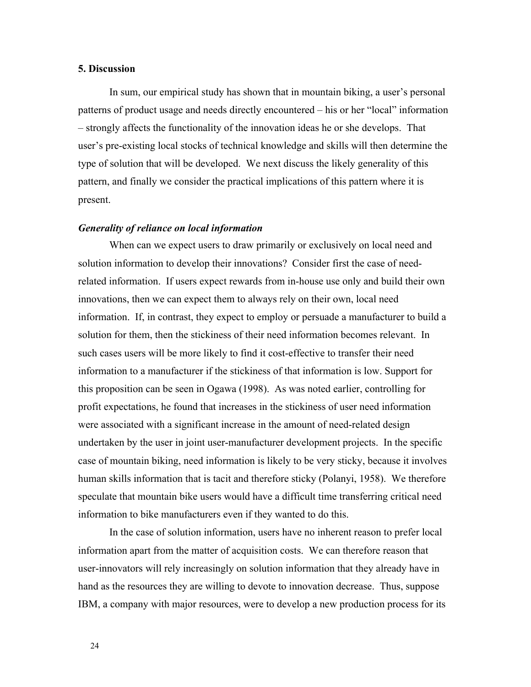## **5. Discussion**

In sum, our empirical study has shown that in mountain biking, a user's personal patterns of product usage and needs directly encountered – his or her "local" information – strongly affects the functionality of the innovation ideas he or she develops. That user's pre-existing local stocks of technical knowledge and skills will then determine the type of solution that will be developed. We next discuss the likely generality of this pattern, and finally we consider the practical implications of this pattern where it is present.

#### *Generality of reliance on local information*

When can we expect users to draw primarily or exclusively on local need and solution information to develop their innovations? Consider first the case of needrelated information. If users expect rewards from in-house use only and build their own innovations, then we can expect them to always rely on their own, local need information. If, in contrast, they expect to employ or persuade a manufacturer to build a solution for them, then the stickiness of their need information becomes relevant. In such cases users will be more likely to find it cost-effective to transfer their need information to a manufacturer if the stickiness of that information is low. Support for this proposition can be seen in Ogawa (1998). As was noted earlier, controlling for profit expectations, he found that increases in the stickiness of user need information were associated with a significant increase in the amount of need-related design undertaken by the user in joint user-manufacturer development projects. In the specific case of mountain biking, need information is likely to be very sticky, because it involves human skills information that is tacit and therefore sticky (Polanyi, 1958). We therefore speculate that mountain bike users would have a difficult time transferring critical need information to bike manufacturers even if they wanted to do this.

In the case of solution information, users have no inherent reason to prefer local information apart from the matter of acquisition costs. We can therefore reason that user-innovators will rely increasingly on solution information that they already have in hand as the resources they are willing to devote to innovation decrease. Thus, suppose IBM, a company with major resources, were to develop a new production process for its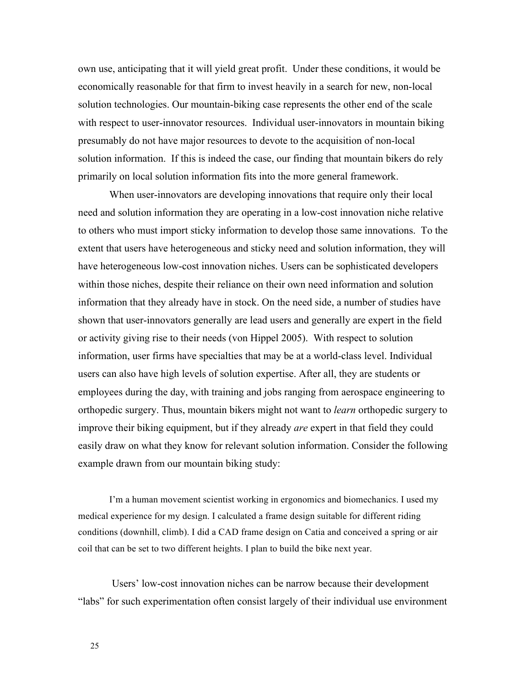own use, anticipating that it will yield great profit. Under these conditions, it would be economically reasonable for that firm to invest heavily in a search for new, non-local solution technologies. Our mountain-biking case represents the other end of the scale with respect to user-innovator resources. Individual user-innovators in mountain biking presumably do not have major resources to devote to the acquisition of non-local solution information. If this is indeed the case, our finding that mountain bikers do rely primarily on local solution information fits into the more general framework.

When user-innovators are developing innovations that require only their local need and solution information they are operating in a low-cost innovation niche relative to others who must import sticky information to develop those same innovations. To the extent that users have heterogeneous and sticky need and solution information, they will have heterogeneous low-cost innovation niches. Users can be sophisticated developers within those niches, despite their reliance on their own need information and solution information that they already have in stock. On the need side, a number of studies have shown that user-innovators generally are lead users and generally are expert in the field or activity giving rise to their needs (von Hippel 2005). With respect to solution information, user firms have specialties that may be at a world-class level. Individual users can also have high levels of solution expertise. After all, they are students or employees during the day, with training and jobs ranging from aerospace engineering to orthopedic surgery. Thus, mountain bikers might not want to *learn* orthopedic surgery to improve their biking equipment, but if they already *are* expert in that field they could easily draw on what they know for relevant solution information. Consider the following example drawn from our mountain biking study:

I'm a human movement scientist working in ergonomics and biomechanics. I used my medical experience for my design. I calculated a frame design suitable for different riding conditions (downhill, climb). I did a CAD frame design on Catia and conceived a spring or air coil that can be set to two different heights. I plan to build the bike next year.

 Users' low-cost innovation niches can be narrow because their development "labs" for such experimentation often consist largely of their individual use environment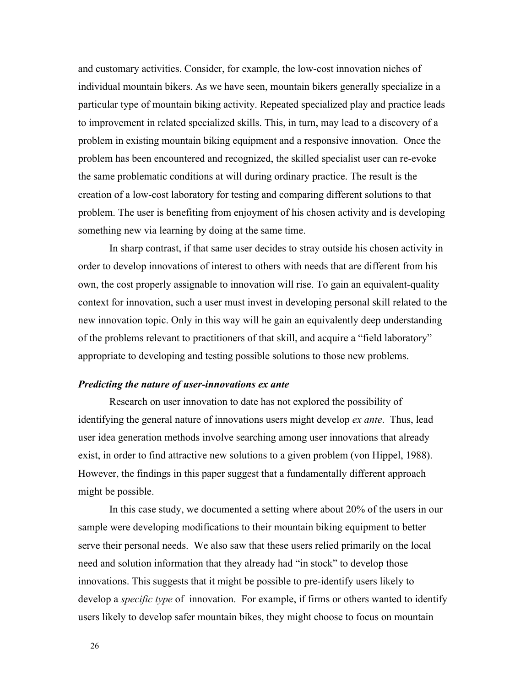and customary activities. Consider, for example, the low-cost innovation niches of individual mountain bikers. As we have seen, mountain bikers generally specialize in a particular type of mountain biking activity. Repeated specialized play and practice leads to improvement in related specialized skills. This, in turn, may lead to a discovery of a problem in existing mountain biking equipment and a responsive innovation. Once the problem has been encountered and recognized, the skilled specialist user can re-evoke the same problematic conditions at will during ordinary practice. The result is the creation of a low-cost laboratory for testing and comparing different solutions to that problem. The user is benefiting from enjoyment of his chosen activity and is developing something new via learning by doing at the same time.

In sharp contrast, if that same user decides to stray outside his chosen activity in order to develop innovations of interest to others with needs that are different from his own, the cost properly assignable to innovation will rise. To gain an equivalent-quality context for innovation, such a user must invest in developing personal skill related to the new innovation topic. Only in this way will he gain an equivalently deep understanding of the problems relevant to practitioners of that skill, and acquire a "field laboratory" appropriate to developing and testing possible solutions to those new problems.

## *Predicting the nature of user-innovations ex ante*

Research on user innovation to date has not explored the possibility of identifying the general nature of innovations users might develop *ex ante*. Thus, lead user idea generation methods involve searching among user innovations that already exist, in order to find attractive new solutions to a given problem (von Hippel, 1988). However, the findings in this paper suggest that a fundamentally different approach might be possible.

In this case study, we documented a setting where about 20% of the users in our sample were developing modifications to their mountain biking equipment to better serve their personal needs. We also saw that these users relied primarily on the local need and solution information that they already had "in stock" to develop those innovations. This suggests that it might be possible to pre-identify users likely to develop a *specific type* of innovation. For example, if firms or others wanted to identify users likely to develop safer mountain bikes, they might choose to focus on mountain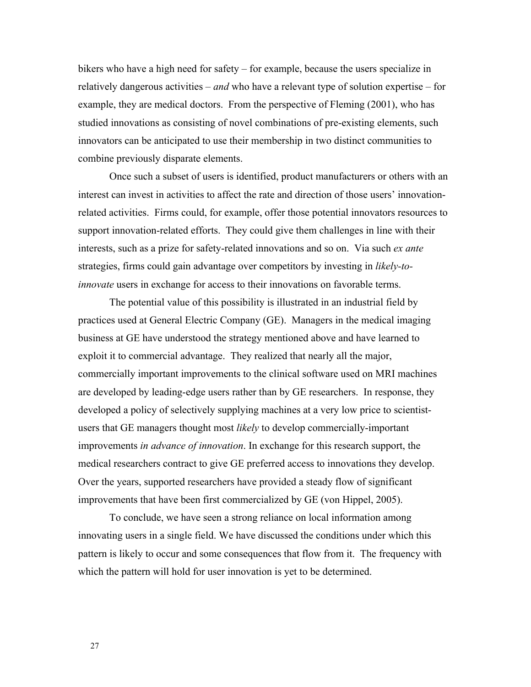bikers who have a high need for safety – for example, because the users specialize in relatively dangerous activities – *and* who have a relevant type of solution expertise – for example, they are medical doctors. From the perspective of Fleming (2001), who has studied innovations as consisting of novel combinations of pre-existing elements, such innovators can be anticipated to use their membership in two distinct communities to combine previously disparate elements.

Once such a subset of users is identified, product manufacturers or others with an interest can invest in activities to affect the rate and direction of those users' innovationrelated activities. Firms could, for example, offer those potential innovators resources to support innovation-related efforts. They could give them challenges in line with their interests, such as a prize for safety-related innovations and so on. Via such *ex ante*  strategies, firms could gain advantage over competitors by investing in *likely-toinnovate* users in exchange for access to their innovations on favorable terms.

The potential value of this possibility is illustrated in an industrial field by practices used at General Electric Company (GE). Managers in the medical imaging business at GE have understood the strategy mentioned above and have learned to exploit it to commercial advantage. They realized that nearly all the major, commercially important improvements to the clinical software used on MRI machines are developed by leading-edge users rather than by GE researchers. In response, they developed a policy of selectively supplying machines at a very low price to scientistusers that GE managers thought most *likely* to develop commercially-important improvements *in advance of innovation*. In exchange for this research support, the medical researchers contract to give GE preferred access to innovations they develop. Over the years, supported researchers have provided a steady flow of significant improvements that have been first commercialized by GE (von Hippel, 2005).

To conclude, we have seen a strong reliance on local information among innovating users in a single field. We have discussed the conditions under which this pattern is likely to occur and some consequences that flow from it. The frequency with which the pattern will hold for user innovation is yet to be determined.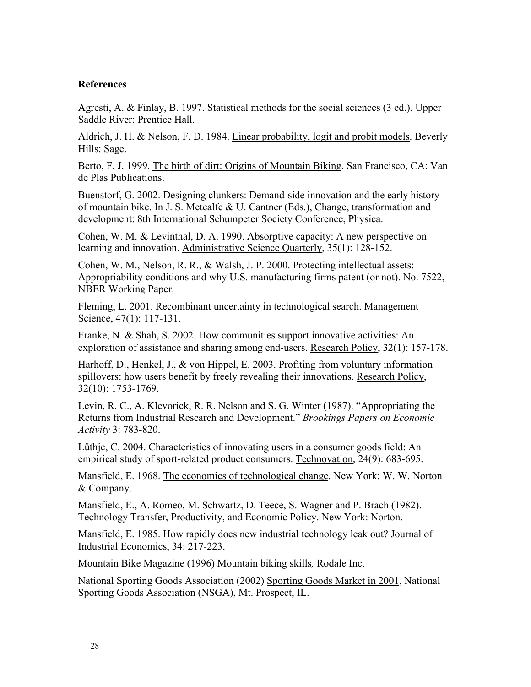# **References**

Agresti, A. & Finlay, B. 1997. Statistical methods for the social sciences (3 ed.). Upper Saddle River: Prentice Hall.

Aldrich, J. H. & Nelson, F. D. 1984. Linear probability, logit and probit models. Beverly Hills: Sage.

Berto, F. J. 1999. The birth of dirt: Origins of Mountain Biking. San Francisco, CA: Van de Plas Publications.

Buenstorf, G. 2002. Designing clunkers: Demand-side innovation and the early history of mountain bike. In J. S. Metcalfe & U. Cantner (Eds.), Change, transformation and development: 8th International Schumpeter Society Conference, Physica.

Cohen, W. M. & Levinthal, D. A. 1990. Absorptive capacity: A new perspective on learning and innovation. Administrative Science Quarterly, 35(1): 128-152.

Cohen, W. M., Nelson, R. R., & Walsh, J. P. 2000. Protecting intellectual assets: Appropriability conditions and why U.S. manufacturing firms patent (or not). No. 7522, NBER Working Paper.

Fleming, L. 2001. Recombinant uncertainty in technological search. Management Science, 47(1): 117-131.

Franke, N. & Shah, S. 2002. How communities support innovative activities: An exploration of assistance and sharing among end-users. Research Policy, 32(1): 157-178.

Harhoff, D., Henkel, J., & von Hippel, E. 2003. Profiting from voluntary information spillovers: how users benefit by freely revealing their innovations. Research Policy, 32(10): 1753-1769.

Levin, R. C., A. Klevorick, R. R. Nelson and S. G. Winter (1987). "Appropriating the Returns from Industrial Research and Development." *Brookings Papers on Economic Activity* 3: 783-820.

Lüthje, C. 2004. Characteristics of innovating users in a consumer goods field: An empirical study of sport-related product consumers. Technovation, 24(9): 683-695.

Mansfield, E. 1968. The economics of technological change. New York: W. W. Norton & Company.

Mansfield, E., A. Romeo, M. Schwartz, D. Teece, S. Wagner and P. Brach (1982). Technology Transfer, Productivity, and Economic Policy. New York: Norton.

Mansfield, E. 1985. How rapidly does new industrial technology leak out? Journal of Industrial Economics, 34: 217-223.

Mountain Bike Magazine (1996) Mountain biking skills*,* Rodale Inc.

National Sporting Goods Association (2002) Sporting Goods Market in 2001, National Sporting Goods Association (NSGA), Mt. Prospect, IL.